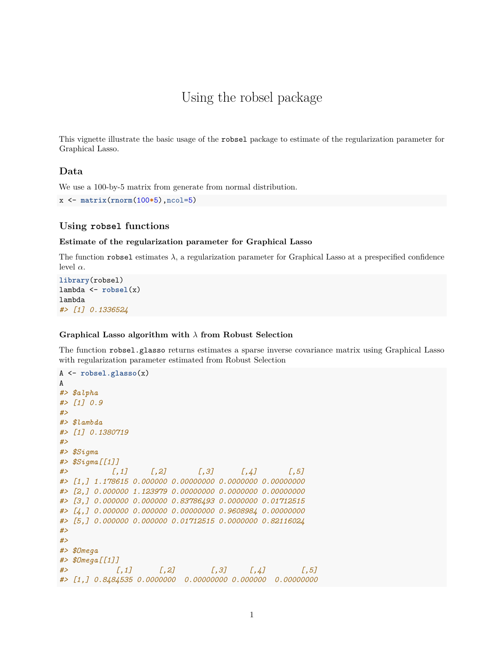# Using the robsel package

This vignette illustrate the basic usage of the robsel package to estimate of the regularization parameter for Graphical Lasso.

## **Data**

We use a 100-by-5 matrix from generate from normal distribution.

```
x <- matrix(rnorm(100*5),ncol=5)
```
# **Using robsel functions**

#### **Estimate of the regularization parameter for Graphical Lasso**

The function robsel estimates  $\lambda$ , a regularization parameter for Graphical Lasso at a prespecified confidence level *α*.

```
library(robsel)
lambda <- robsel(x)
lambda
#> [1] 0.1336524
```
### **Graphical Lasso algorithm with** *λ* **from Robust Selection**

The function robsel.glasso returns estimates a sparse inverse covariance matrix using Graphical Lasso with regularization parameter estimated from Robust Selection

```
A <- robsel.glasso(x)
A
#> $alpha
#> [1] 0.9
#>
#> $lambda
#> [1] 0.1380719
#>
#> $Sigma
#> $Sigma[[1]]
#> [,1] [,2] [,3] [,4] [,5]
#> [1,] 1.178615 0.000000 0.00000000 0.0000000 0.00000000
#> [2,] 0.000000 1.123979 0.00000000 0.0000000 0.00000000
#> [3,] 0.000000 0.000000 0.83786493 0.0000000 0.01712515
#> [4,] 0.000000 0.000000 0.00000000 0.9608984 0.00000000
#> [5,] 0.000000 0.000000 0.01712515 0.0000000 0.82116024
#>
#>
#> $Omega
#> $Omega[[1]]
#> [,1] [,2] [,3] [,4] [,5]
#> [1,] 0.8484535 0.0000000 0.00000000 0.000000 0.00000000
```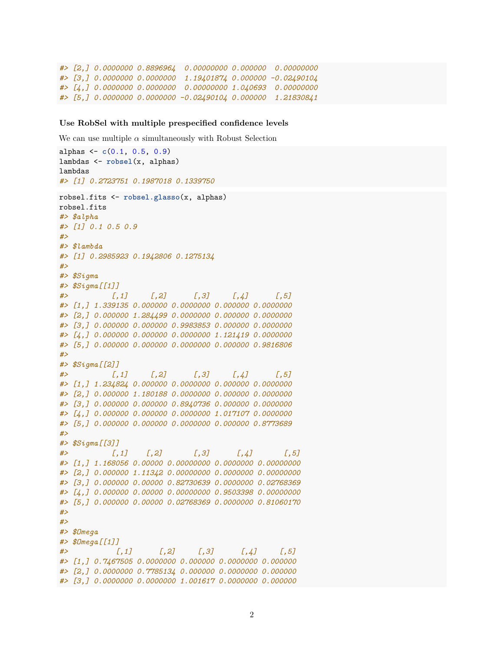```
#> [2,] 0.0000000 0.8896964 0.00000000 0.000000 0.00000000
#> [3,] 0.0000000 0.0000000 1.19401874 0.000000 -0.02490104
#> [4,] 0.0000000 0.0000000 0.00000000 1.040693 0.00000000
#> [5,] 0.0000000 0.0000000 -0.02490104 0.000000 1.21830841
```
#### **Use RobSel with multiple prespecified confidence levels**

We can use multiple  $\alpha$  simultaneously with Robust Selection

```
alphas <- c(0.1, 0.5, 0.9)
lambdas <- robsel(x, alphas)
lambdas
#> [1] 0.2723751 0.1987018 0.1339750
robsel.fits <- robsel.glasso(x, alphas)
robsel.fits
#> $alpha
#> [1] 0.1 0.5 0.9
#>
#> $lambda
#> [1] 0.2985923 0.1942806 0.1275134
#>
#> $Sigma
#> $Sigma[[1]]
#> [,1] [,2] [,3] [,4] [,5]
#> [1,] 1.339135 0.000000 0.0000000 0.000000 0.0000000
#> [2,] 0.000000 1.284499 0.0000000 0.000000 0.0000000
#> [3,] 0.000000 0.000000 0.9983853 0.000000 0.0000000
#> [4,] 0.000000 0.000000 0.0000000 1.121419 0.0000000
#> [5,] 0.000000 0.000000 0.0000000 0.000000 0.9816806
#>
#> $Sigma[[2]]
#> [,1] [,2] [,3] [,4] [,5]
#> [1,] 1.234824 0.000000 0.0000000 0.000000 0.0000000
#> [2,] 0.000000 1.180188 0.0000000 0.000000 0.0000000
#> [3,] 0.000000 0.000000 0.8940736 0.000000 0.0000000
#> [4,] 0.000000 0.000000 0.0000000 1.017107 0.0000000
#> [5,] 0.000000 0.000000 0.0000000 0.000000 0.8773689
#>
#> $Sigma[[3]]
#> [,1] [,2] [,3] [,4] [,5]
#> [1,] 1.168056 0.00000 0.00000000 0.0000000 0.00000000
#> [2,] 0.000000 1.11342 0.00000000 0.0000000 0.00000000
#> [3,] 0.000000 0.00000 0.82730639 0.0000000 0.02768369
#> [4,] 0.000000 0.00000 0.00000000 0.9503398 0.00000000
#> [5,] 0.000000 0.00000 0.02768369 0.0000000 0.81060170
#>
#>
#> $Omega
#> $Omega[[1]]
#> [,1] [,2] [,3] [,4] [,5]
#> [1,] 0.7467505 0.0000000 0.000000 0.0000000 0.000000
#> [2,] 0.0000000 0.7785134 0.000000 0.0000000 0.000000
#> [3,] 0.0000000 0.0000000 1.001617 0.0000000 0.000000
```